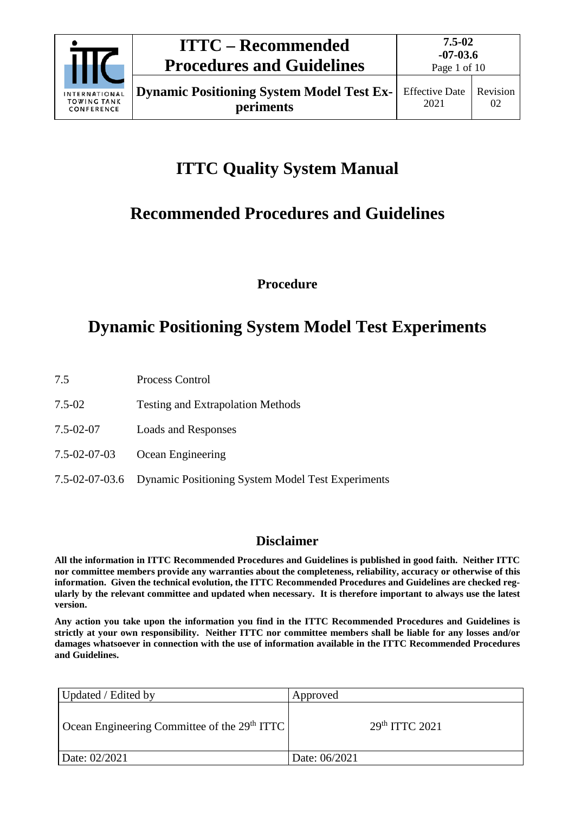

# **ITTC Quality System Manual**

# **Recommended Procedures and Guidelines**

**Procedure**

# **Dynamic Positioning System Model Test Experiments**

- 7.5 Process Control
- 7.5-02 Testing and Extrapolation Methods
- 7.5-02-07 Loads and Responses
- 7.5-02-07-03 Ocean Engineering
- 7.5-02-07-03.6 Dynamic Positioning System Model Test Experiments

## **Disclaimer**

**All the information in ITTC Recommended Procedures and Guidelines is published in good faith. Neither ITTC nor committee members provide any warranties about the completeness, reliability, accuracy or otherwise of this information. Given the technical evolution, the ITTC Recommended Procedures and Guidelines are checked regularly by the relevant committee and updated when necessary. It is therefore important to always use the latest version.**

**Any action you take upon the information you find in the ITTC Recommended Procedures and Guidelines is strictly at your own responsibility. Neither ITTC nor committee members shall be liable for any losses and/or damages whatsoever in connection with the use of information available in the ITTC Recommended Procedures and Guidelines.**

| Updated / Edited by                           | Approved                   |
|-----------------------------------------------|----------------------------|
| Ocean Engineering Committee of the $29th TTC$ | 29 <sup>th</sup> TTTC 2021 |
| Date: 02/2021                                 | Date: 06/2021              |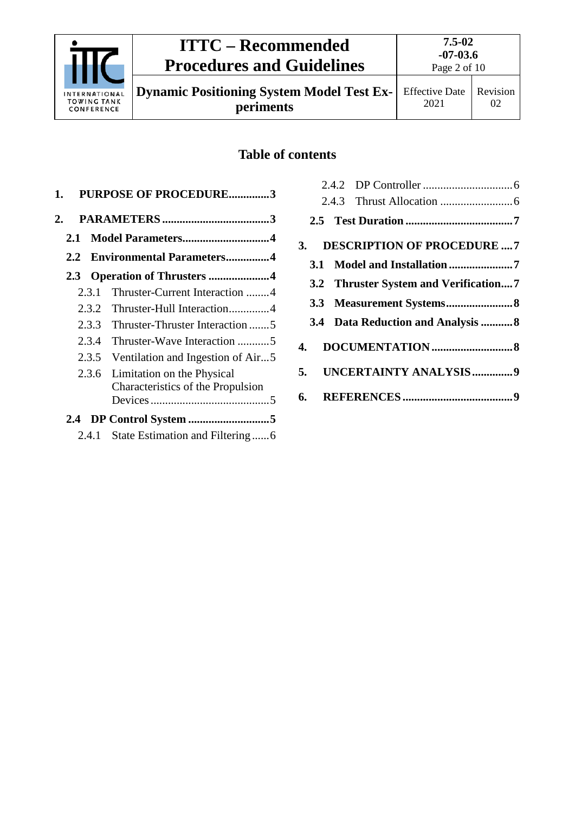

**Dynamic Positioning System Model Test Experiments**

## **Table of contents**

|    | <b>PURPOSE OF PROCEDURE3</b><br>1. |       |                                   |
|----|------------------------------------|-------|-----------------------------------|
| 2. |                                    |       |                                   |
|    | 2.1                                |       |                                   |
|    | 2.2                                |       | <b>Environmental Parameters4</b>  |
|    |                                    |       |                                   |
|    |                                    | 2.3.1 | Thruster-Current Interaction 4    |
|    |                                    | 2.3.2 | Thruster-Hull Interaction4        |
|    |                                    | 2.3.3 | Thruster-Thruster Interaction 5   |
|    |                                    | 2.3.4 | Thruster-Wave Interaction 5       |
|    |                                    | 2.3.5 | Ventilation and Ingestion of Air5 |
|    |                                    | 2.3.6 | Limitation on the Physical        |
|    |                                    |       | Characteristics of the Propulsion |
|    |                                    |       |                                   |
|    |                                    |       |                                   |
|    |                                    | 2.4.1 | State Estimation and Filtering6   |

|  | 3. DESCRIPTION OF PROCEDURE  7        |  |
|--|---------------------------------------|--|
|  |                                       |  |
|  | 3.2 Thruster System and Verification7 |  |
|  |                                       |  |
|  | 3.4 Data Reduction and Analysis 8     |  |
|  |                                       |  |
|  | 5. UNCERTAINTY ANALYSIS9              |  |
|  |                                       |  |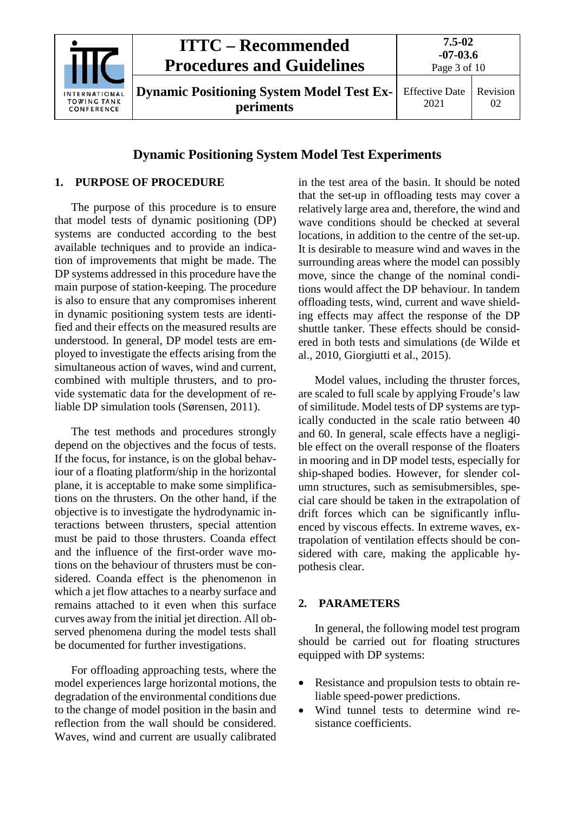

## **Dynamic Positioning System Model Test Experiments**

## <span id="page-2-0"></span>**1. PURPOSE OF PROCEDURE**

The purpose of this procedure is to ensure that model tests of dynamic positioning (DP) systems are conducted according to the best available techniques and to provide an indication of improvements that might be made. The DP systems addressed in this procedure have the main purpose of station-keeping. The procedure is also to ensure that any compromises inherent in dynamic positioning system tests are identified and their effects on the measured results are understood. In general, DP model tests are employed to investigate the effects arising from the simultaneous action of waves, wind and current, combined with multiple thrusters, and to provide systematic data for the development of reliable DP simulation tools (Sørensen, 2011).

The test methods and procedures strongly depend on the objectives and the focus of tests. If the focus, for instance, is on the global behaviour of a floating platform/ship in the horizontal plane, it is acceptable to make some simplifications on the thrusters. On the other hand, if the objective is to investigate the hydrodynamic interactions between thrusters, special attention must be paid to those thrusters. Coanda effect and the influence of the first-order wave motions on the behaviour of thrusters must be considered. Coanda effect is the phenomenon in which a jet flow attaches to a nearby surface and remains attached to it even when this surface curves away from the initial jet direction. All observed phenomena during the model tests shall be documented for further investigations.

For offloading approaching tests, where the model experiences large horizontal motions, the degradation of the environmental conditions due to the change of model position in the basin and reflection from the wall should be considered. Waves, wind and current are usually calibrated

in the test area of the basin. It should be noted that the set-up in offloading tests may cover a relatively large area and, therefore, the wind and wave conditions should be checked at several locations, in addition to the centre of the set-up. It is desirable to measure wind and waves in the surrounding areas where the model can possibly move, since the change of the nominal conditions would affect the DP behaviour. In tandem offloading tests, wind, current and wave shielding effects may affect the response of the DP shuttle tanker. These effects should be considered in both tests and simulations (de Wilde et al., 2010, Giorgiutti et al., 2015).

Model values, including the thruster forces, are scaled to full scale by applying Froude's law of similitude. Model tests of DP systems are typically conducted in the scale ratio between 40 and 60. In general, scale effects have a negligible effect on the overall response of the floaters in mooring and in DP model tests, especially for ship-shaped bodies. However, for slender column structures, such as semisubmersibles, special care should be taken in the extrapolation of drift forces which can be significantly influenced by viscous effects. In extreme waves, extrapolation of ventilation effects should be considered with care, making the applicable hypothesis clear.

## <span id="page-2-1"></span>**2. PARAMETERS**

In general, the following model test program should be carried out for floating structures equipped with DP systems:

- Resistance and propulsion tests to obtain reliable speed-power predictions.
- Wind tunnel tests to determine wind resistance coefficients.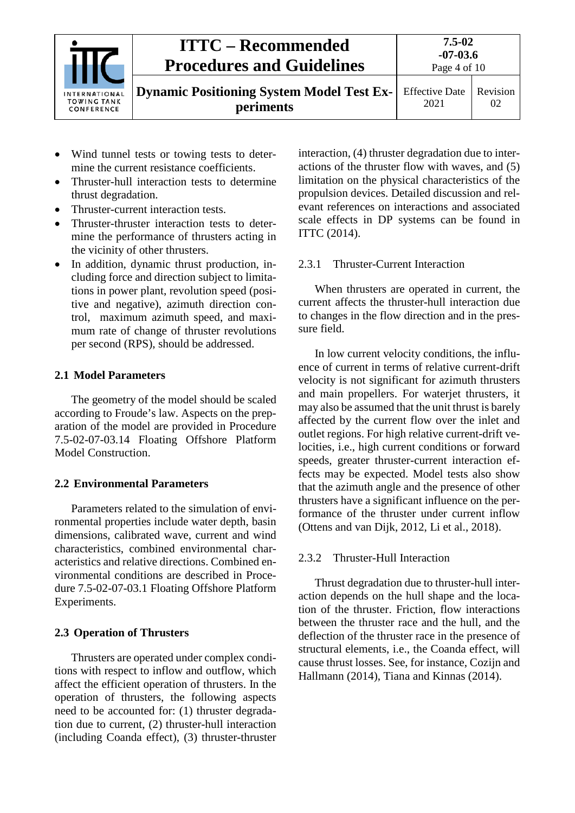

- Wind tunnel tests or towing tests to determine the current resistance coefficients.
- Thruster-hull interaction tests to determine thrust degradation.
- Thruster-current interaction tests.
- Thruster-thruster interaction tests to determine the performance of thrusters acting in the vicinity of other thrusters.
- In addition, dynamic thrust production, including force and direction subject to limitations in power plant, revolution speed (positive and negative), azimuth direction control, maximum azimuth speed, and maximum rate of change of thruster revolutions per second (RPS), should be addressed.

## <span id="page-3-0"></span>**2.1 Model Parameters**

The geometry of the model should be scaled according to Froude's law. Aspects on the preparation of the model are provided in Procedure 7.5-02-07-03.14 Floating Offshore Platform Model Construction.

## <span id="page-3-1"></span>**2.2 Environmental Parameters**

Parameters related to the simulation of environmental properties include water depth, basin dimensions, calibrated wave, current and wind characteristics, combined environmental characteristics and relative directions. Combined environmental conditions are described in Procedure 7.5-02-07-03.1 Floating Offshore Platform Experiments.

## <span id="page-3-2"></span>**2.3 Operation of Thrusters**

Thrusters are operated under complex conditions with respect to inflow and outflow, which affect the efficient operation of thrusters. In the operation of thrusters, the following aspects need to be accounted for: (1) thruster degradation due to current, (2) thruster-hull interaction (including Coanda effect), (3) thruster-thruster interaction, (4) thruster degradation due to interactions of the thruster flow with waves, and (5) limitation on the physical characteristics of the propulsion devices. Detailed discussion and relevant references on interactions and associated scale effects in DP systems can be found in ITTC (2014).

## <span id="page-3-3"></span>2.3.1 Thruster-Current Interaction

When thrusters are operated in current, the current affects the thruster-hull interaction due to changes in the flow direction and in the pressure field.

In low current velocity conditions, the influence of current in terms of relative current-drift velocity is not significant for azimuth thrusters and main propellers. For waterjet thrusters, it may also be assumed that the unit thrust is barely affected by the current flow over the inlet and outlet regions. For high relative current-drift velocities, i.e., high current conditions or forward speeds, greater thruster-current interaction effects may be expected. Model tests also show that the azimuth angle and the presence of other thrusters have a significant influence on the performance of the thruster under current inflow (Ottens and van Dijk, 2012, Li et al., 2018).

## <span id="page-3-4"></span>2.3.2 Thruster-Hull Interaction

Thrust degradation due to thruster-hull interaction depends on the hull shape and the location of the thruster. Friction, flow interactions between the thruster race and the hull, and the deflection of the thruster race in the presence of structural elements, i.e., the Coanda effect, will cause thrust losses. See, for instance, Cozijn and Hallmann (2014), Tiana and Kinnas (2014).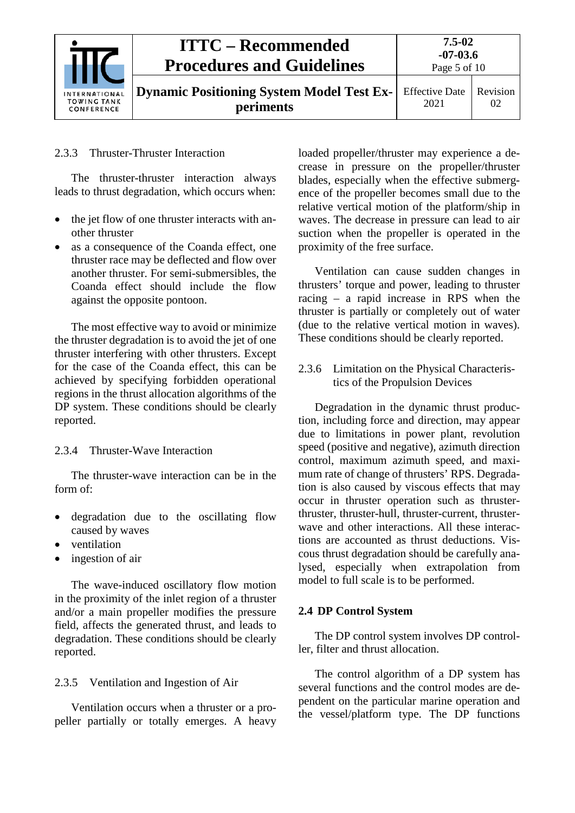

### <span id="page-4-0"></span>2.3.3 Thruster-Thruster Interaction

The thruster-thruster interaction always leads to thrust degradation, which occurs when:

- the jet flow of one thruster interacts with another thruster
- as a consequence of the Coanda effect, one thruster race may be deflected and flow over another thruster. For semi-submersibles, the Coanda effect should include the flow against the opposite pontoon.

The most effective way to avoid or minimize the thruster degradation is to avoid the jet of one thruster interfering with other thrusters. Except for the case of the Coanda effect, this can be achieved by specifying forbidden operational regions in the thrust allocation algorithms of the DP system. These conditions should be clearly reported.

### <span id="page-4-1"></span>2.3.4 Thruster-Wave Interaction

The thruster-wave interaction can be in the form of:

- degradation due to the oscillating flow caused by waves
- ventilation
- ingestion of air

The wave-induced oscillatory flow motion in the proximity of the inlet region of a thruster and/or a main propeller modifies the pressure field, affects the generated thrust, and leads to degradation. These conditions should be clearly reported.

#### <span id="page-4-2"></span>2.3.5 Ventilation and Ingestion of Air

Ventilation occurs when a thruster or a propeller partially or totally emerges. A heavy loaded propeller/thruster may experience a decrease in pressure on the propeller/thruster blades, especially when the effective submergence of the propeller becomes small due to the relative vertical motion of the platform/ship in waves. The decrease in pressure can lead to air suction when the propeller is operated in the proximity of the free surface.

Ventilation can cause sudden changes in thrusters' torque and power, leading to thruster racing – a rapid increase in RPS when the thruster is partially or completely out of water (due to the relative vertical motion in waves). These conditions should be clearly reported.

<span id="page-4-3"></span>2.3.6 Limitation on the Physical Characteristics of the Propulsion Devices

Degradation in the dynamic thrust production, including force and direction, may appear due to limitations in power plant, revolution speed (positive and negative), azimuth direction control, maximum azimuth speed, and maximum rate of change of thrusters' RPS. Degradation is also caused by viscous effects that may occur in thruster operation such as thrusterthruster, thruster-hull, thruster-current, thrusterwave and other interactions. All these interactions are accounted as thrust deductions. Viscous thrust degradation should be carefully analysed, especially when extrapolation from model to full scale is to be performed.

#### <span id="page-4-4"></span>**2.4 DP Control System**

The DP control system involves DP controller, filter and thrust allocation.

The control algorithm of a DP system has several functions and the control modes are dependent on the particular marine operation and the vessel/platform type. The DP functions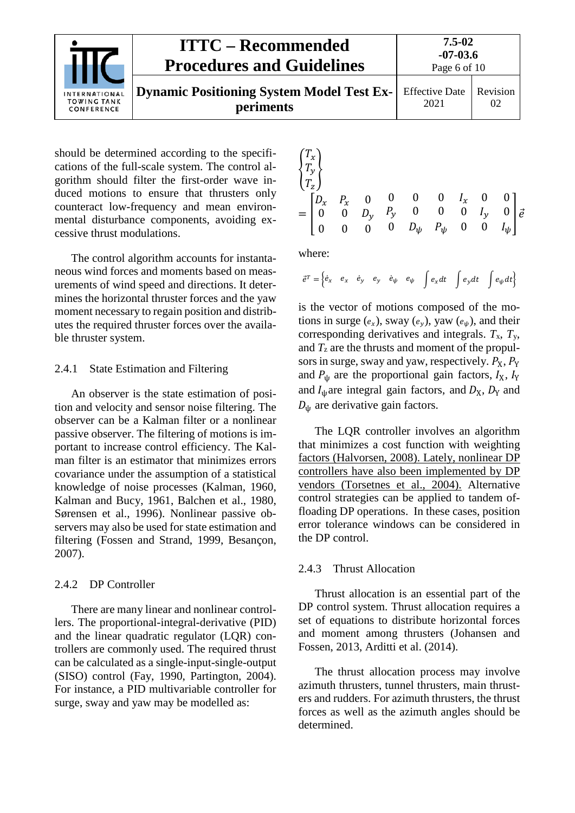

should be determined according to the specifications of the full-scale system. The control algorithm should filter the first-order wave induced motions to ensure that thrusters only counteract low-frequency and mean environmental disturbance components, avoiding excessive thrust modulations.

The control algorithm accounts for instantaneous wind forces and moments based on measurements of wind speed and directions. It determines the horizontal thruster forces and the yaw moment necessary to regain position and distributes the required thruster forces over the available thruster system.

#### <span id="page-5-0"></span>2.4.1 State Estimation and Filtering

An observer is the state estimation of position and velocity and sensor noise filtering. The observer can be a Kalman filter or a nonlinear passive observer. The filtering of motions is important to increase control efficiency. The Kalman filter is an estimator that minimizes errors covariance under the assumption of a statistical knowledge of noise processes (Kalman, 1960, Kalman and Bucy, 1961, Balchen et al., 1980, Sørensen et al., 1996). Nonlinear passive observers may also be used for state estimation and filtering (Fossen and Strand, 1999, Besançon, 2007).

#### <span id="page-5-1"></span>2.4.2 DP Controller

There are many linear and nonlinear controllers. The proportional-integral-derivative (PID) and the linear quadratic regulator (LQR) controllers are commonly used. The required thrust can be calculated as a single-input-single-output (SISO) control (Fay, 1990, Partington, 2004). For instance, a PID multivariable controller for surge, sway and yaw may be modelled as:

$$
\begin{aligned}\n\begin{cases}\nT_x \\
T_y \\
T_z\n\end{cases} \\
&= \begin{bmatrix}\nD_x & P_x & 0 & 0 & 0 & 0 & I_x & 0 & 0 \\
0 & 0 & D_y & P_y & 0 & 0 & 0 & I_y & 0 \\
0 & 0 & 0 & 0 & D_\psi & P_\psi & 0 & 0 & I_\psi\n\end{bmatrix} \vec{e} \\
&= \begin{bmatrix}\n0 & 0 & 0 & 0 & D_\psi & P_\psi & 0 & 0 & I_\psi\n\end{bmatrix} \vec{e} \\
&= \begin{bmatrix}\n0 & 0 & 0 & 0 & D_\psi & P_\psi & 0 & 0 & I_\psi\n\end{bmatrix} \vec{e} \\
&= \begin{bmatrix}\n0 & 0 & 0 & 0 & D_\psi & P_\psi & 0 & 0 & I_\psi\n\end{bmatrix} \vec{e} \\
&= \begin{bmatrix}\n0 & 0 & 0 & 0 & D_\psi & P_\psi & 0 & 0 & I_\psi\n\end{bmatrix} \vec{e} \\
&= \begin{bmatrix}\n0 & 0 & 0 & 0 & D_\psi & P_\psi & 0 & 0 & I_\psi\n\end{bmatrix} \vec{e} \\
&= \begin{bmatrix}\n0 & 0 & 0 & 0 & D_\psi & P_\psi & 0 & 0 & I_\psi\n\end{bmatrix} \vec{e} \\
&= \begin{bmatrix}\n0 & 0 & 0 & 0 & D_\psi & P_\psi & 0 & 0 & I_\psi\n\end{bmatrix} \vec{e} \\
&= \begin{bmatrix}\n0 & 0 & 0 & 0 & D_\psi & P_\psi & 0 & 0 & I_\psi\n\end{bmatrix} \vec{e} \\
&= \begin{bmatrix}\n0 & 0 & 0 & 0 & D_\psi & P_\psi & 0 & 0 & I_\psi\n\end{bmatrix} \vec{e} \\
&= \begin{bmatrix}\n0 & 0 & 0 & 0 & D_\psi & P_\psi & 0 & 0 & I_\psi\n\end{bmatrix} \vec{e} \\
&= \begin{bmatrix}\n0 & 0 & 0 & 0 & D_\psi & P_\psi & 0 & 0 & I_\psi\n\end{bmatrix} \vec{e} \\
&= \begin{bmatrix}\n0 & 0 & 0 & 0 & D_\psi & P_\psi & 0 & 0 & I_\psi\n\end{bmatrix} \vec{e} \\
&= \begin{bmatrix}\n0 & 0 & 0 & 0 & D_\psi & P_\psi & 0
$$

where:

$$
\vec{e}^T = \begin{cases} \dot{e}_x & e_x & \dot{e}_y & e_y & \dot{e}_\psi & e_\psi \end{cases} \quad \int e_x dt \quad \int e_y dt \quad \int e_\psi dt \}
$$

is the vector of motions composed of the motions in surge  $(e_x)$ , sway  $(e_y)$ , yaw  $(e_y)$ , and their corresponding derivatives and integrals. *T*x, *T*y, and  $T_z$  are the thrusts and moment of the propulsors in surge, sway and yaw, respectively.  $P_X$ ,  $P_Y$ and  $P_{\psi}$  are the proportional gain factors,  $I_X$ ,  $I_Y$ and  $I_{\psi}$  are integral gain factors, and  $D_{X}$ ,  $D_{Y}$  and  $D_{\psi}$  are derivative gain factors.

The LQR controller involves an algorithm that minimizes a cost function with weighting factors (Halvorsen, 2008). Lately, nonlinear DP controllers have also been implemented by DP vendors (Torsetnes et al., 2004). Alternative control strategies can be applied to tandem offloading DP operations. In these cases, position error tolerance windows can be considered in the DP control.

#### <span id="page-5-2"></span>2.4.3 Thrust Allocation

Thrust allocation is an essential part of the DP control system. Thrust allocation requires a set of equations to distribute horizontal forces and moment among thrusters (Johansen and Fossen, 2013, Arditti et al. (2014).

The thrust allocation process may involve azimuth thrusters, tunnel thrusters, main thrusters and rudders. For azimuth thrusters, the thrust forces as well as the azimuth angles should be determined.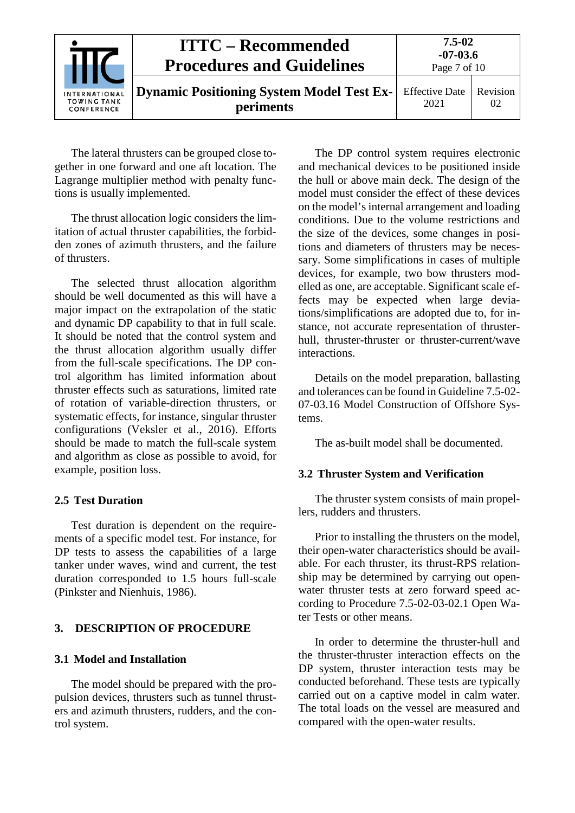|                                                   | <b>ITTC – Recommended</b><br><b>Procedures and Guidelines</b> | 7.5-02<br>$-07-03.6$<br>Page 7 of 10 |                |
|---------------------------------------------------|---------------------------------------------------------------|--------------------------------------|----------------|
| INTERNATIONAL<br><b>TOWING TANK</b><br>CONFERENCE | <b>Dynamic Positioning System Model Test Ex-</b><br>periments | <b>Effective Date</b><br>2021        | Revision<br>02 |

The lateral thrusters can be grouped close together in one forward and one aft location. The Lagrange multiplier method with penalty functions is usually implemented.

The thrust allocation logic considers the limitation of actual thruster capabilities, the forbidden zones of azimuth thrusters, and the failure of thrusters.

The selected thrust allocation algorithm should be well documented as this will have a major impact on the extrapolation of the static and dynamic DP capability to that in full scale. It should be noted that the control system and the thrust allocation algorithm usually differ from the full-scale specifications. The DP control algorithm has limited information about thruster effects such as saturations, limited rate of rotation of variable-direction thrusters, or systematic effects, for instance, singular thruster configurations (Veksler et al., 2016). Efforts should be made to match the full-scale system and algorithm as close as possible to avoid, for example, position loss.

## <span id="page-6-0"></span>**2.5 Test Duration**

Test duration is dependent on the requirements of a specific model test. For instance, for DP tests to assess the capabilities of a large tanker under waves, wind and current, the test duration corresponded to 1.5 hours full-scale (Pinkster and Nienhuis, 1986).

## <span id="page-6-2"></span><span id="page-6-1"></span>**3. DESCRIPTION OF PROCEDURE**

## **3.1 Model and Installation**

The model should be prepared with the propulsion devices, thrusters such as tunnel thrusters and azimuth thrusters, rudders, and the control system.

The DP control system requires electronic and mechanical devices to be positioned inside the hull or above main deck. The design of the model must consider the effect of these devices on the model's internal arrangement and loading conditions. Due to the volume restrictions and the size of the devices, some changes in positions and diameters of thrusters may be necessary. Some simplifications in cases of multiple devices, for example, two bow thrusters modelled as one, are acceptable. Significant scale effects may be expected when large deviations/simplifications are adopted due to, for instance, not accurate representation of thrusterhull, thruster-thruster or thruster-current/wave interactions.

Details on the model preparation, ballasting and tolerances can be found in Guideline 7.5-02- 07-03.16 Model Construction of Offshore Systems.

The as-built model shall be documented.

## <span id="page-6-3"></span>**3.2 Thruster System and Verification**

The thruster system consists of main propellers, rudders and thrusters.

Prior to installing the thrusters on the model, their open-water characteristics should be available. For each thruster, its thrust-RPS relationship may be determined by carrying out openwater thruster tests at zero forward speed according to Procedure 7.5-02-03-02.1 Open Water Tests or other means.

In order to determine the thruster-hull and the thruster-thruster interaction effects on the DP system, thruster interaction tests may be conducted beforehand. These tests are typically carried out on a captive model in calm water. The total loads on the vessel are measured and compared with the open-water results.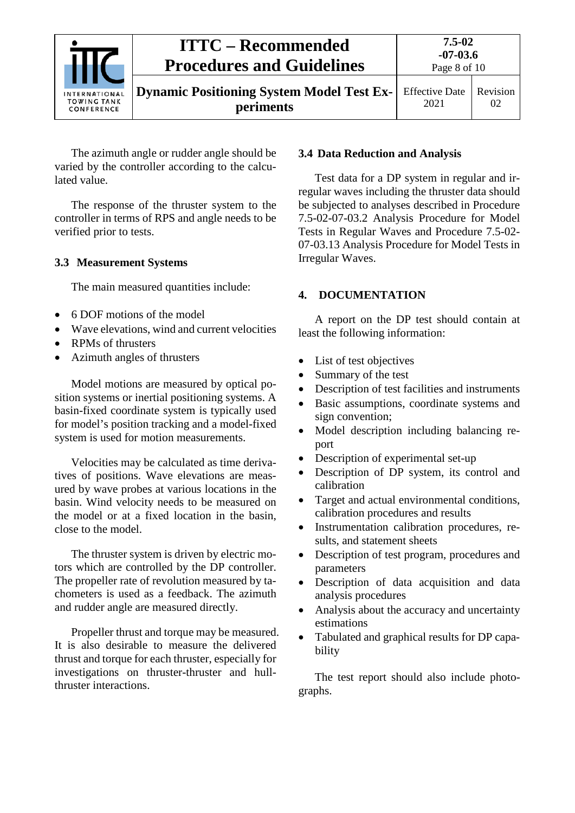

The azimuth angle or rudder angle should be varied by the controller according to the calculated value.

The response of the thruster system to the controller in terms of RPS and angle needs to be verified prior to tests.

## <span id="page-7-0"></span>**3.3 Measurement Systems**

The main measured quantities include:

- 6 DOF motions of the model
- Wave elevations, wind and current velocities
- RPMs of thrusters
- Azimuth angles of thrusters

Model motions are measured by optical position systems or inertial positioning systems. A basin-fixed coordinate system is typically used for model's position tracking and a model-fixed system is used for motion measurements.

Velocities may be calculated as time derivatives of positions. Wave elevations are measured by wave probes at various locations in the basin. Wind velocity needs to be measured on the model or at a fixed location in the basin, close to the model.

The thruster system is driven by electric motors which are controlled by the DP controller. The propeller rate of revolution measured by tachometers is used as a feedback. The azimuth and rudder angle are measured directly.

Propeller thrust and torque may be measured. It is also desirable to measure the delivered thrust and torque for each thruster, especially for investigations on thruster-thruster and hullthruster interactions.

## <span id="page-7-1"></span>**3.4 Data Reduction and Analysis**

Test data for a DP system in regular and irregular waves including the thruster data should be subjected to analyses described in Procedure 7.5-02-07-03.2 Analysis Procedure for Model Tests in Regular Waves and Procedure 7.5-02- 07-03.13 Analysis Procedure for Model Tests in Irregular Waves.

## <span id="page-7-2"></span>**4. DOCUMENTATION**

A report on the DP test should contain at least the following information:

- List of test objectives
- Summary of the test
- Description of test facilities and instruments
- Basic assumptions, coordinate systems and sign convention;
- Model description including balancing report
- Description of experimental set-up
- Description of DP system, its control and calibration
- Target and actual environmental conditions, calibration procedures and results
- Instrumentation calibration procedures, results, and statement sheets
- Description of test program, procedures and parameters
- Description of data acquisition and data analysis procedures
- Analysis about the accuracy and uncertainty estimations
- Tabulated and graphical results for DP capability

The test report should also include photographs.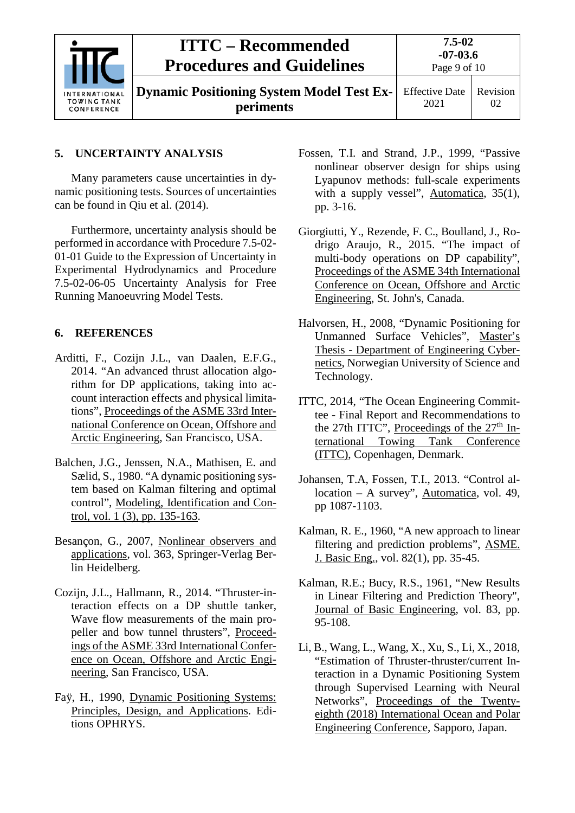| INTERNATIONAL<br><b>TOWING TANK</b><br>CONFERENCE | <b>ITTC – Recommended</b><br><b>Procedures and Guidelines</b> | $7.5 - 02$<br>$-07-03.6$<br>Page 9 of 10 |                |
|---------------------------------------------------|---------------------------------------------------------------|------------------------------------------|----------------|
|                                                   | <b>Dynamic Positioning System Model Test Ex-</b><br>periments | <b>Effective Date</b><br>2021            | Revision<br>02 |

## <span id="page-8-0"></span>**5. UNCERTAINTY ANALYSIS**

Many parameters cause uncertainties in dynamic positioning tests. Sources of uncertainties can be found in Qiu et al. (2014).

Furthermore, uncertainty analysis should be performed in accordance with Procedure 7.5-02- 01-01 Guide to the Expression of Uncertainty in Experimental Hydrodynamics and Procedure 7.5-02-06-05 Uncertainty Analysis for Free Running Manoeuvring Model Tests.

## <span id="page-8-1"></span>**6. REFERENCES**

- Arditti, F., Cozijn J.L., van Daalen, E.F.G., 2014. "An advanced thrust allocation algorithm for DP applications, taking into account interaction effects and physical limitations", Proceedings of the ASME 33rd International Conference on Ocean, Offshore and Arctic Engineering, San Francisco, USA.
- Balchen, J.G., Jenssen, N.A., Mathisen, E. and Sælid, S., 1980. "A dynamic positioning system based on Kalman filtering and optimal control", Modeling, Identification and Control, vol. 1 (3), pp. 135-163.
- Besançon, G., 2007, Nonlinear observers and applications, vol. 363, Springer-Verlag Berlin Heidelberg.
- Cozijn, J.L., Hallmann, R., 2014. "Thruster-interaction effects on a DP shuttle tanker, Wave flow measurements of the main propeller and bow tunnel thrusters", Proceedings of the ASME 33rd International Conference on Ocean, Offshore and Arctic Engineering, San Francisco, USA.
- Faÿ, H., 1990, Dynamic Positioning Systems: Principles, Design, and Applications. Editions OPHRYS.
- Fossen, T.I. and Strand, J.P., 1999, "Passive nonlinear observer design for ships using Lyapunov methods: full-scale experiments with a supply vessel", Automatica, 35(1), pp. 3-16.
- Giorgiutti, Y., Rezende, F. C., Boulland, J., Rodrigo Araujo, R., 2015. "The impact of multi-body operations on DP capability", Proceedings of the ASME 34th International Conference on Ocean, Offshore and Arctic Engineering, St. John's, Canada.
- Halvorsen, H., 2008, "Dynamic Positioning for Unmanned Surface Vehicles", Master's Thesis - Department of Engineering Cybernetics, Norwegian University of Science and Technology.
- ITTC, 2014, "The Ocean Engineering Committee - Final Report and Recommendations to the 27th ITTC", Proceedings of the  $27<sup>th</sup>$  International Towing Tank Conference (ITTC), Copenhagen, Denmark.
- Johansen, T.A, Fossen, T.I., 2013. "Control allocation – A survey", Automatica, vol. 49, pp 1087-1103.
- Kalman, R. E., 1960, "A new approach to linear filtering and prediction problems", ASME. J. Basic Eng., vol. 82(1), pp. 35-45.
- Kalman, R.E.; Bucy, R.S., 1961, "New Results in Linear Filtering and Prediction Theory", Journal of Basic Engineering, vol. 83, pp. 95-108.
- Li, B., Wang, L., Wang, X., Xu, S., Li, X., 2018, "Estimation of Thruster-thruster/current Interaction in a Dynamic Positioning System through Supervised Learning with Neural Networks", Proceedings of the Twentyeighth (2018) International Ocean and Polar Engineering Conference, Sapporo, Japan.